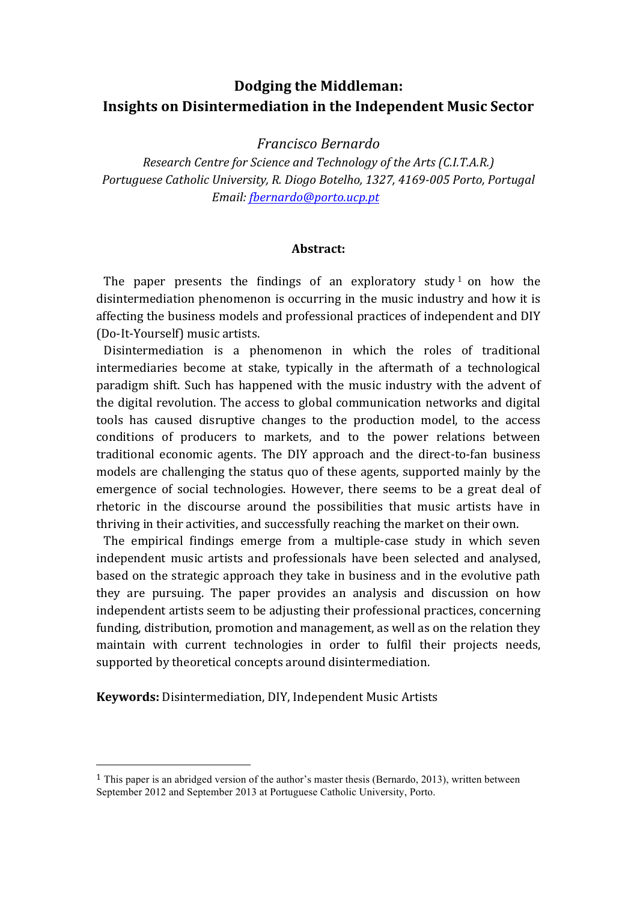# **Dodging the Middleman: Insights on Disintermediation in the Independent Music Sector**

*Francisco Bernardo*

*Research Centre for Science and Technology of the Arts (C.I.T.A.R.) Portuguese Catholic University, R. Diogo Botelho, 1327, 4169-005 Porto, Portugal Email: fbernardo@porto.ucp.pt*

#### **Abstract:**

The paper presents the findings of an exploratory study  $1$  on how the disintermediation phenomenon is occurring in the music industry and how it is affecting the business models and professional practices of independent and DIY (Do-It-Yourself) music artists.

Disintermediation is a phenomenon in which the roles of traditional intermediaries become at stake, typically in the aftermath of a technological paradigm shift. Such has happened with the music industry with the advent of the digital revolution. The access to global communication networks and digital tools has caused disruptive changes to the production model, to the access conditions of producers to markets, and to the power relations between traditional economic agents. The DIY approach and the direct-to-fan business models are challenging the status quo of these agents, supported mainly by the emergence of social technologies. However, there seems to be a great deal of rhetoric in the discourse around the possibilities that music artists have in thriving in their activities, and successfully reaching the market on their own.

The empirical findings emerge from a multiple-case study in which seven independent music artists and professionals have been selected and analysed, based on the strategic approach they take in business and in the evolutive path they are pursuing. The paper provides an analysis and discussion on how independent artists seem to be adjusting their professional practices, concerning funding, distribution, promotion and management, as well as on the relation they maintain with current technologies in order to fulfil their projects needs, supported by theoretical concepts around disintermediation.

**Keywords:** Disintermediation, DIY, Independent Music Artists

<sup>1</sup> This paper is an abridged version of the author's master thesis (Bernardo, 2013), written between September 2012 and September 2013 at Portuguese Catholic University, Porto.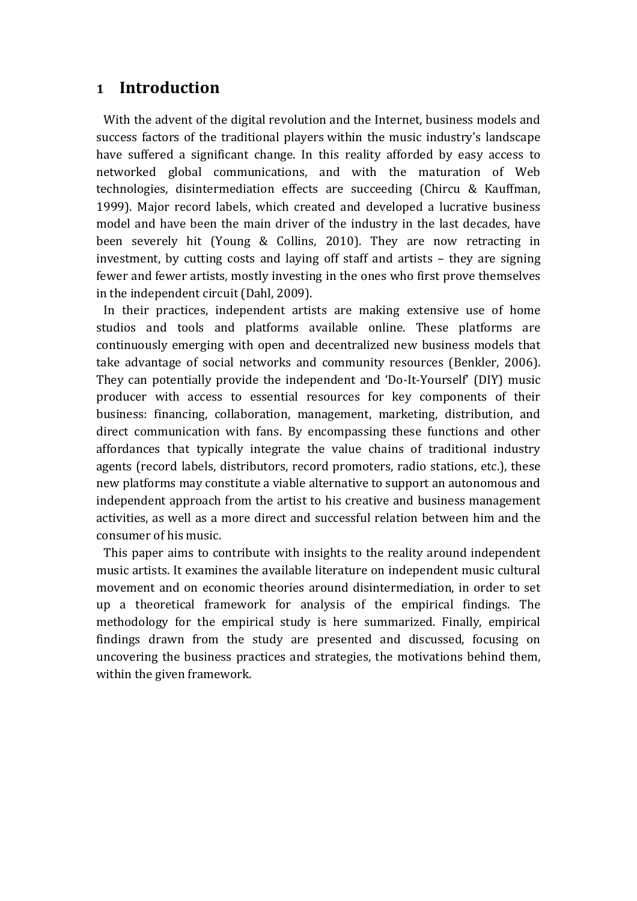## **1 Introduction**

With the advent of the digital revolution and the Internet, business models and success factors of the traditional players within the music industry's landscape have suffered a significant change. In this reality afforded by easy access to networked global communications, and with the maturation of Web technologies, disintermediation effects are succeeding (Chircu & Kauffman, 1999). Major record labels, which created and developed a lucrative business model and have been the main driver of the industry in the last decades, have been severely hit (Young  $&$  Collins, 2010). They are now retracting in investment, by cutting costs and laying off staff and artists  $-$  they are signing fewer and fewer artists, mostly investing in the ones who first prove themselves in the independent circuit (Dahl, 2009).

In their practices, independent artists are making extensive use of home studios and tools and platforms available online. These platforms are continuously emerging with open and decentralized new business models that take advantage of social networks and community resources (Benkler, 2006). They can potentially provide the independent and 'Do-It-Yourself' (DIY) music producer with access to essential resources for key components of their business: financing, collaboration, management, marketing, distribution, and direct communication with fans. By encompassing these functions and other affordances that typically integrate the value chains of traditional industry agents (record labels, distributors, record promoters, radio stations, etc.), these new platforms may constitute a viable alternative to support an autonomous and independent approach from the artist to his creative and business management activities, as well as a more direct and successful relation between him and the consumer of his music.

This paper aims to contribute with insights to the reality around independent music artists. It examines the available literature on independent music cultural movement and on economic theories around disintermediation, in order to set up a theoretical framework for analysis of the empirical findings. The methodology for the empirical study is here summarized. Finally, empirical findings drawn from the study are presented and discussed, focusing on uncovering the business practices and strategies, the motivations behind them, within the given framework.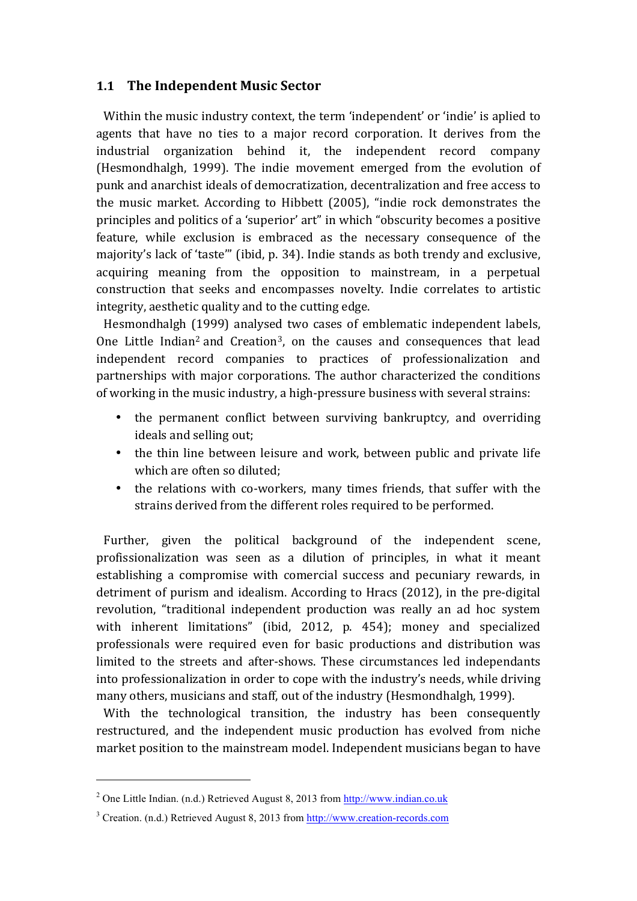## **1.1 The Independent Music Sector**

Within the music industry context, the term 'independent' or 'indie' is aplied to agents that have no ties to a major record corporation. It derives from the industrial organization behind it, the independent record company (Hesmondhalgh, 1999). The indie movement emerged from the evolution of punk and anarchist ideals of democratization, decentralization and free access to the music market. According to Hibbett (2005), "indie rock demonstrates the principles and politics of a 'superior' art" in which "obscurity becomes a positive feature, while exclusion is embraced as the necessary consequence of the majority's lack of 'taste'" (ibid, p. 34). Indie stands as both trendy and exclusive, acquiring meaning from the opposition to mainstream, in a perpetual construction that seeks and encompasses novelty. Indie correlates to artistic integrity, aesthetic quality and to the cutting edge.

Hesmondhalgh (1999) analysed two cases of emblematic independent labels, One Little Indian<sup>2</sup> and Creation<sup>3</sup>, on the causes and consequences that lead independent record companies to practices of professionalization and partnerships with major corporations. The author characterized the conditions of working in the music industry, a high-pressure business with several strains:

- the permanent conflict between surviving bankruptcy, and overriding ideals and selling out:
- the thin line between leisure and work, between public and private life which are often so diluted;
- the relations with co-workers, many times friends, that suffer with the strains derived from the different roles required to be performed.

Further, given the political background of the independent scene, profissionalization was seen as a dilution of principles, in what it meant establishing a compromise with comercial success and pecuniary rewards, in detriment of purism and idealism. According to Hracs (2012), in the pre-digital revolution, "traditional independent production was really an ad hoc system with inherent limitations" (ibid, 2012, p. 454); money and specialized professionals were required even for basic productions and distribution was limited to the streets and after-shows. These circumstances led independants into professionalization in order to cope with the industry's needs, while driving many others, musicians and staff, out of the industry (Hesmondhalgh, 1999).

With the technological transition, the industry has been consequently restructured, and the independent music production has evolved from niche market position to the mainstream model. Independent musicians began to have

<sup>2</sup> One Little Indian. (n.d.) Retrieved August 8, 2013 from http://www.indian.co.uk

<sup>3</sup> Creation. (n.d.) Retrieved August 8, 2013 from http://www.creation-records.com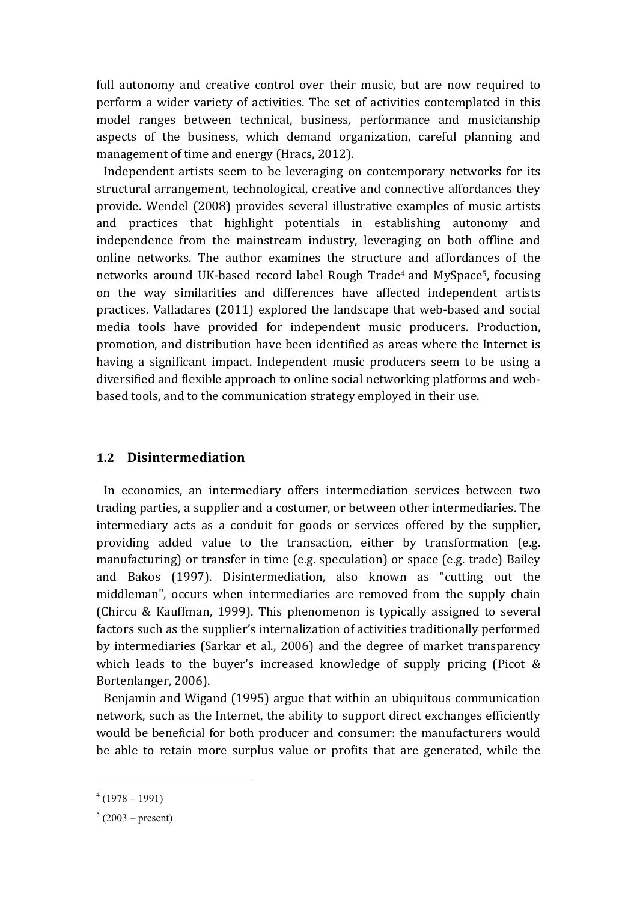full autonomy and creative control over their music, but are now required to perform a wider variety of activities. The set of activities contemplated in this model ranges between technical, business, performance and musicianship aspects of the business, which demand organization, careful planning and management of time and energy (Hracs, 2012).

Independent artists seem to be leveraging on contemporary networks for its structural arrangement, technological, creative and connective affordances they provide. Wendel (2008) provides several illustrative examples of music artists and practices that highlight potentials in establishing autonomy and independence from the mainstream industry, leveraging on both offline and online networks. The author examines the structure and affordances of the networks around UK-based record label Rough Trade<sup>4</sup> and MySpace<sup>5</sup>, focusing on the way similarities and differences have affected independent artists practices. Valladares (2011) explored the landscape that web-based and social media tools have provided for independent music producers. Production, promotion, and distribution have been identified as areas where the Internet is having a significant impact. Independent music producers seem to be using a diversified and flexible approach to online social networking platforms and webbased tools, and to the communication strategy employed in their use.

## **1.2 Disintermediation**

In economics, an intermediary offers intermediation services between two trading parties, a supplier and a costumer, or between other intermediaries. The intermediary acts as a conduit for goods or services offered by the supplier, providing added value to the transaction, either by transformation (e.g. manufacturing) or transfer in time (e.g. speculation) or space (e.g. trade) Bailey and Bakos (1997). Disintermediation, also known as "cutting out the middleman", occurs when intermediaries are removed from the supply chain (Chircu & Kauffman, 1999). This phenomenon is typically assigned to several factors such as the supplier's internalization of activities traditionally performed by intermediaries (Sarkar et al., 2006) and the degree of market transparency which leads to the buyer's increased knowledge of supply pricing (Picot  $&$ Bortenlanger, 2006).

Benjamin and Wigand (1995) argue that within an ubiquitous communication network, such as the Internet, the ability to support direct exchanges efficiently would be beneficial for both producer and consumer: the manufacturers would be able to retain more surplus value or profits that are generated, while the

 $4(1978-1991)$ 

 $5(2003 - \text{present})$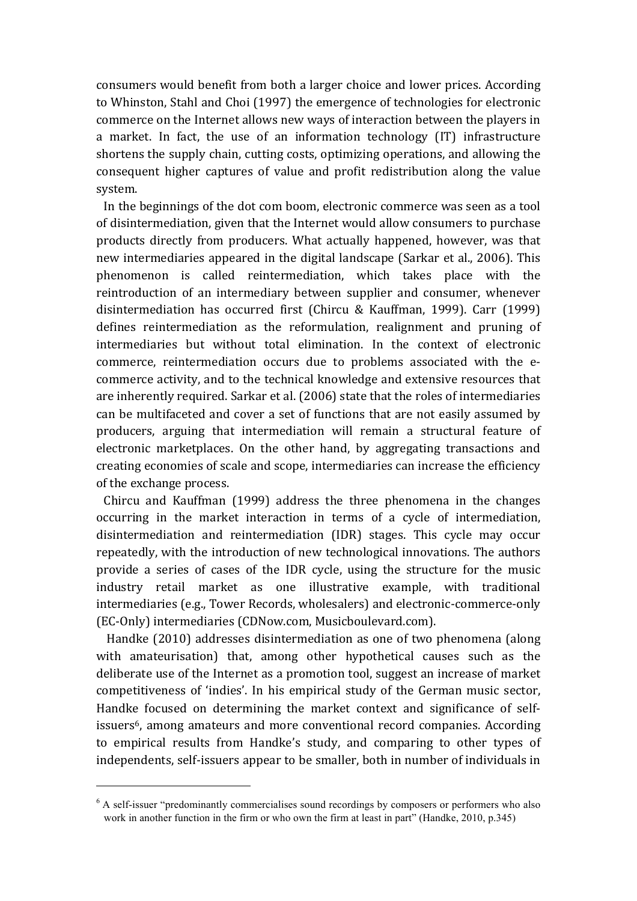consumers would benefit from both a larger choice and lower prices. According to Whinston, Stahl and Choi (1997) the emergence of technologies for electronic commerce on the Internet allows new ways of interaction between the players in a market. In fact, the use of an information technology (IT) infrastructure shortens the supply chain, cutting costs, optimizing operations, and allowing the consequent higher captures of value and profit redistribution along the value system.

In the beginnings of the dot com boom, electronic commerce was seen as a tool of disintermediation, given that the Internet would allow consumers to purchase products directly from producers. What actually happened, however, was that new intermediaries appeared in the digital landscape (Sarkar et al., 2006). This phenomenon is called reintermediation, which takes place with the reintroduction of an intermediary between supplier and consumer, whenever disintermediation has occurred first (Chircu & Kauffman, 1999). Carr (1999) defines reintermediation as the reformulation, realignment and pruning of intermediaries but without total elimination. In the context of electronic commerce, reintermediation occurs due to problems associated with the ecommerce activity, and to the technical knowledge and extensive resources that are inherently required. Sarkar et al. (2006) state that the roles of intermediaries can be multifaceted and cover a set of functions that are not easily assumed by producers, arguing that intermediation will remain a structural feature of electronic marketplaces. On the other hand, by aggregating transactions and creating economies of scale and scope, intermediaries can increase the efficiency of the exchange process.

Chircu and Kauffman (1999) address the three phenomena in the changes occurring in the market interaction in terms of a cycle of intermediation, disintermediation and reintermediation (IDR) stages. This cycle may occur repeatedly, with the introduction of new technological innovations. The authors provide a series of cases of the IDR cycle, using the structure for the music industry retail market as one illustrative example, with traditional intermediaries (e.g., Tower Records, wholesalers) and electronic-commerce-only (EC-Only) intermediaries (CDNow.com, Musicboulevard.com).

Handke (2010) addresses disintermediation as one of two phenomena (along with amateurisation) that, among other hypothetical causes such as the deliberate use of the Internet as a promotion tool, suggest an increase of market competitiveness of 'indies'. In his empirical study of the German music sector, Handke focused on determining the market context and significance of selfissuers<sup>6</sup>, among amateurs and more conventional record companies. According to empirical results from Handke's study, and comparing to other types of independents, self-issuers appear to be smaller, both in number of individuals in

<sup>&</sup>lt;sup>6</sup> A self-issuer "predominantly commercialises sound recordings by composers or performers who also work in another function in the firm or who own the firm at least in part" (Handke, 2010, p.345)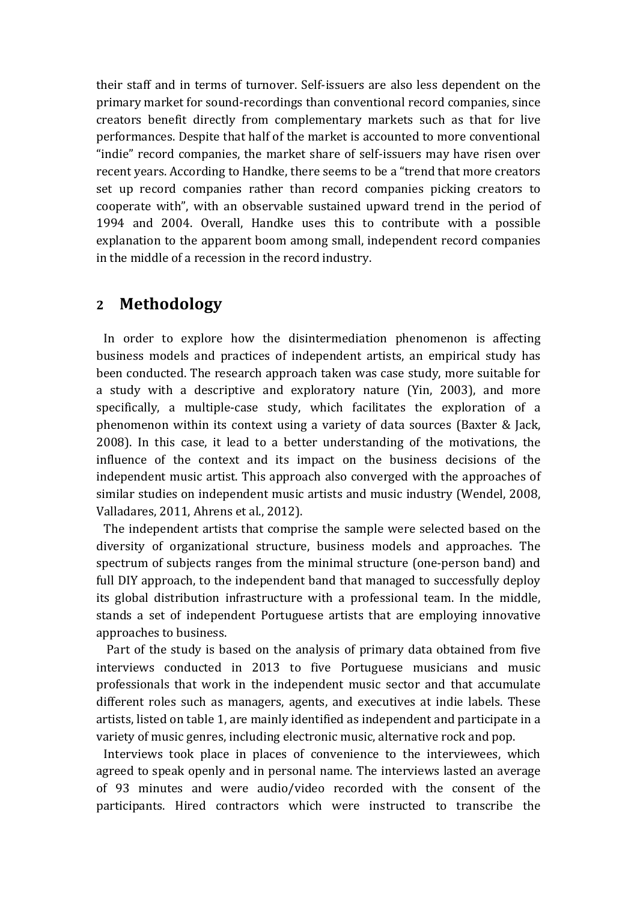their staff and in terms of turnover. Self-issuers are also less dependent on the primary market for sound-recordings than conventional record companies, since creators benefit directly from complementary markets such as that for live performances. Despite that half of the market is accounted to more conventional "indie" record companies, the market share of self-issuers may have risen over recent years. According to Handke, there seems to be a "trend that more creators set up record companies rather than record companies picking creators to cooperate with", with an observable sustained upward trend in the period of 1994 and 2004. Overall, Handke uses this to contribute with a possible explanation to the apparent boom among small, independent record companies in the middle of a recession in the record industry.

# **2 Methodology**

In order to explore how the disintermediation phenomenon is affecting business models and practices of independent artists, an empirical study has been conducted. The research approach taken was case study, more suitable for a study with a descriptive and exploratory nature (Yin, 2003), and more specifically, a multiple-case study, which facilitates the exploration of a phenomenon within its context using a variety of data sources (Baxter  $&$  Jack, 2008). In this case, it lead to a better understanding of the motivations, the influence of the context and its impact on the business decisions of the independent music artist. This approach also converged with the approaches of similar studies on independent music artists and music industry (Wendel, 2008, Valladares, 2011, Ahrens et al., 2012).

The independent artists that comprise the sample were selected based on the diversity of organizational structure, business models and approaches. The spectrum of subjects ranges from the minimal structure (one-person band) and full DIY approach, to the independent band that managed to successfully deploy its global distribution infrastructure with a professional team. In the middle, stands a set of independent Portuguese artists that are employing innovative approaches to business.

Part of the study is based on the analysis of primary data obtained from five interviews conducted in 2013 to five Portuguese musicians and music professionals that work in the independent music sector and that accumulate different roles such as managers, agents, and executives at indie labels. These artists, listed on table 1, are mainly identified as independent and participate in a variety of music genres, including electronic music, alternative rock and pop.

Interviews took place in places of convenience to the interviewees, which agreed to speak openly and in personal name. The interviews lasted an average of 93 minutes and were audio/video recorded with the consent of the participants. Hired contractors which were instructed to transcribe the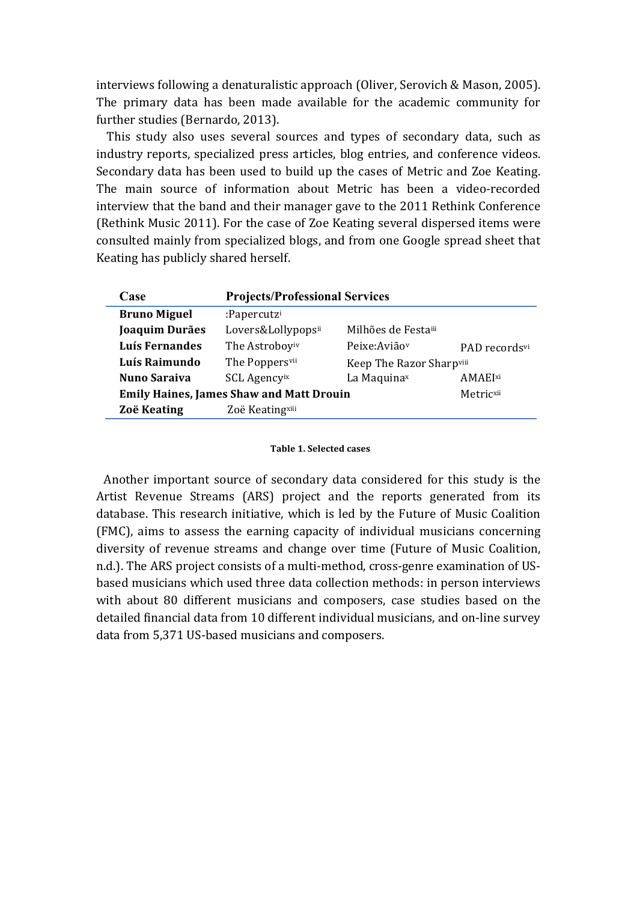interviews following a denaturalistic approach (Oliver, Serovich & Mason, 2005). The primary data has been made available for the academic community for further studies (Bernardo, 2013).

This study also uses several sources and types of secondary data, such as industry reports, specialized press articles, blog entries, and conference videos. Secondary data has been used to build up the cases of Metric and Zoe Keating. The main source of information about Metric has been a video-recorded interview that the band and their manager gave to the 2011 Rethink Conference (Rethink Music 2011). For the case of Zoe Keating several dispersed items were consulted mainly from specialized blogs, and from one Google spread sheet that Keating has publicly shared herself.

| Case                                            | <b>Projects/Professional Services</b> |                           |               |
|-------------------------------------------------|---------------------------------------|---------------------------|---------------|
| <b>Bruno Miguel</b>                             | :Papercutzi                           |                           |               |
| Joaquim Durães                                  | Lovers&Lollypopsii                    | Milhões de Festaiii       |               |
| Luís Fernandes                                  | The Astroboyiv                        | Peixe: Avião <sup>v</sup> | PAD recordsvi |
| Luís Raimundo                                   | The Poppersvii                        | Keep The Razor Sharpviii  |               |
| <b>Nuno Saraiva</b>                             | <b>SCL Agencyix</b>                   | La Maquinax               | AMAEIxi       |
| <b>Emily Haines, James Shaw and Matt Drouin</b> |                                       |                           | Metricxii     |
| Zoë Keating                                     | Zoë Keatingxiii                       |                           |               |

#### **Table 1. Selected cases**

Another important source of secondary data considered for this study is the Artist Revenue Streams (ARS) project and the reports generated from its database. This research initiative, which is led by the Future of Music Coalition (FMC), aims to assess the earning capacity of individual musicians concerning diversity of revenue streams and change over time (Future of Music Coalition, n.d.). The ARS project consists of a multi-method, cross-genre examination of USbased musicians which used three data collection methods: in person interviews with about 80 different musicians and composers, case studies based on the detailed financial data from 10 different individual musicians, and on-line survey data from 5,371 US-based musicians and composers.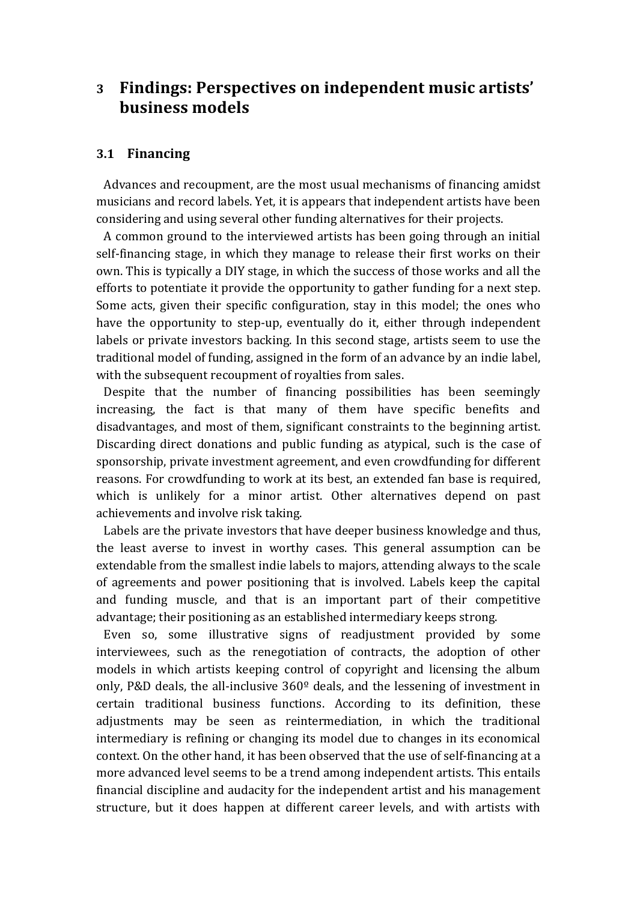# **3 Findings: Perspectives on independent music artists' business models**

## **3.1 Financing**

Advances and recoupment, are the most usual mechanisms of financing amidst musicians and record labels. Yet, it is appears that independent artists have been considering and using several other funding alternatives for their projects.

A common ground to the interviewed artists has been going through an initial self-financing stage, in which they manage to release their first works on their own. This is typically a DIY stage, in which the success of those works and all the efforts to potentiate it provide the opportunity to gather funding for a next step. Some acts, given their specific configuration, stay in this model; the ones who have the opportunity to step-up, eventually do it, either through independent labels or private investors backing. In this second stage, artists seem to use the traditional model of funding, assigned in the form of an advance by an indie label, with the subsequent recoupment of royalties from sales.

Despite that the number of financing possibilities has been seemingly increasing, the fact is that many of them have specific benefits and disadvantages, and most of them, significant constraints to the beginning artist. Discarding direct donations and public funding as atypical, such is the case of sponsorship, private investment agreement, and even crowdfunding for different reasons. For crowdfunding to work at its best, an extended fan base is required, which is unlikely for a minor artist. Other alternatives depend on past achievements and involve risk taking.

Labels are the private investors that have deeper business knowledge and thus, the least averse to invest in worthy cases. This general assumption can be extendable from the smallest indie labels to majors, attending always to the scale of agreements and power positioning that is involved. Labels keep the capital and funding muscle, and that is an important part of their competitive advantage; their positioning as an established intermediary keeps strong.

Even so, some illustrative signs of readjustment provided by some interviewees, such as the renegotiation of contracts, the adoption of other models in which artists keeping control of copyright and licensing the album only, P&D deals, the all-inclusive  $360^{\circ}$  deals, and the lessening of investment in certain traditional business functions. According to its definition, these adjustments may be seen as reintermediation, in which the traditional intermediary is refining or changing its model due to changes in its economical context. On the other hand, it has been observed that the use of self-financing at a more advanced level seems to be a trend among independent artists. This entails financial discipline and audacity for the independent artist and his management structure, but it does happen at different career levels, and with artists with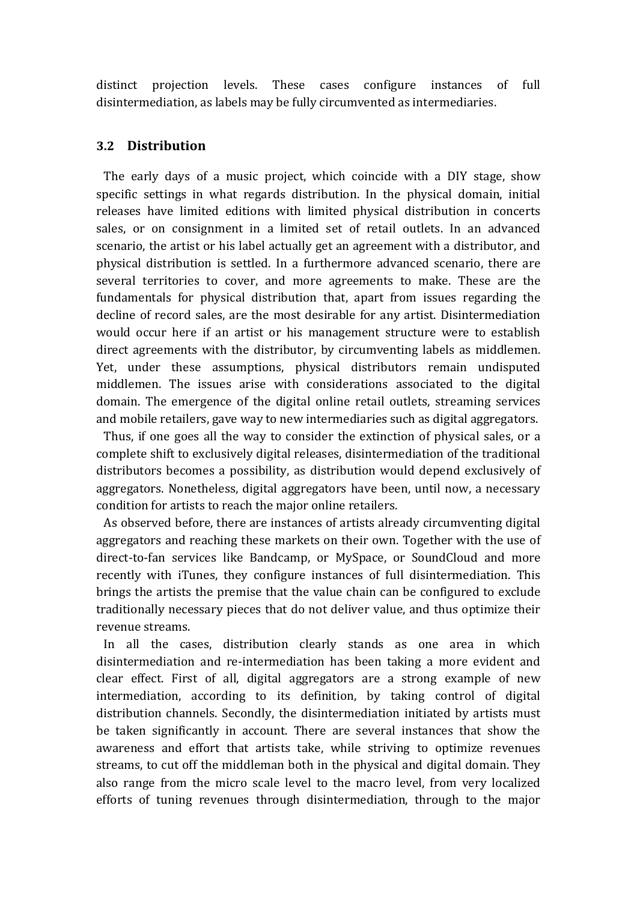distinct projection levels. These cases configure instances of full disintermediation, as labels may be fully circumvented as intermediaries.

## **3.2 Distribution**

The early days of a music project, which coincide with a DIY stage, show specific settings in what regards distribution. In the physical domain, initial releases have limited editions with limited physical distribution in concerts sales, or on consignment in a limited set of retail outlets. In an advanced scenario, the artist or his label actually get an agreement with a distributor, and physical distribution is settled. In a furthermore advanced scenario, there are several territories to cover, and more agreements to make. These are the fundamentals for physical distribution that, apart from issues regarding the decline of record sales, are the most desirable for any artist. Disintermediation would occur here if an artist or his management structure were to establish direct agreements with the distributor, by circumventing labels as middlemen. Yet, under these assumptions, physical distributors remain undisputed middlemen. The issues arise with considerations associated to the digital domain. The emergence of the digital online retail outlets, streaming services and mobile retailers, gave way to new intermediaries such as digital aggregators.

Thus, if one goes all the way to consider the extinction of physical sales, or a complete shift to exclusively digital releases, disintermediation of the traditional distributors becomes a possibility, as distribution would depend exclusively of aggregators. Nonetheless, digital aggregators have been, until now, a necessary condition for artists to reach the major online retailers.

As observed before, there are instances of artists already circumventing digital aggregators and reaching these markets on their own. Together with the use of direct-to-fan services like Bandcamp, or MySpace, or SoundCloud and more recently with iTunes, they configure instances of full disintermediation. This brings the artists the premise that the value chain can be configured to exclude traditionally necessary pieces that do not deliver value, and thus optimize their revenue streams.

In all the cases, distribution clearly stands as one area in which disintermediation and re-intermediation has been taking a more evident and clear effect. First of all, digital aggregators are a strong example of new intermediation, according to its definition, by taking control of digital distribution channels. Secondly, the disintermediation initiated by artists must be taken significantly in account. There are several instances that show the awareness and effort that artists take, while striving to optimize revenues streams, to cut off the middleman both in the physical and digital domain. They also range from the micro scale level to the macro level, from very localized efforts of tuning revenues through disintermediation, through to the major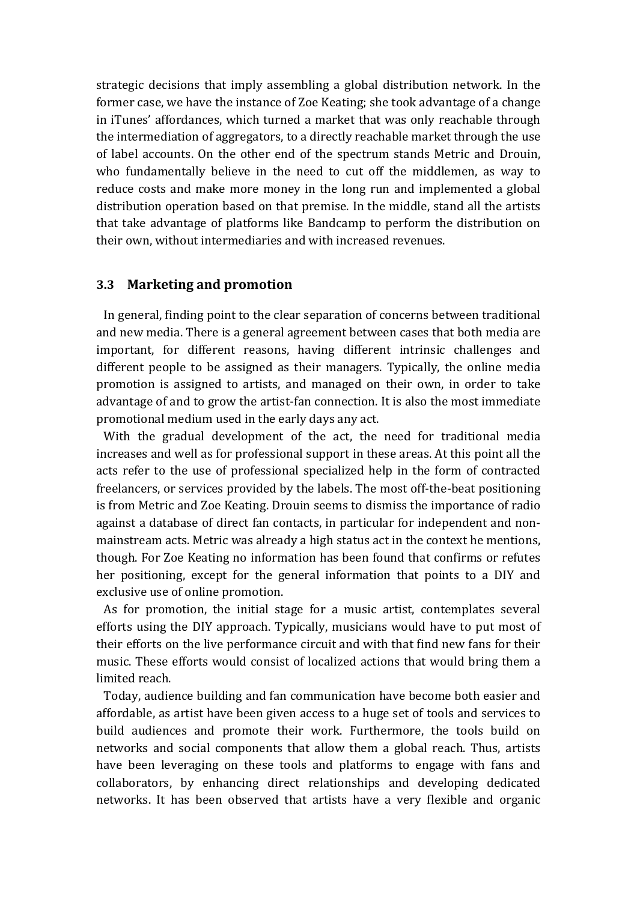strategic decisions that imply assembling a global distribution network. In the former case, we have the instance of Zoe Keating; she took advantage of a change in iTunes' affordances, which turned a market that was only reachable through the intermediation of aggregators, to a directly reachable market through the use of label accounts. On the other end of the spectrum stands Metric and Drouin, who fundamentally believe in the need to cut off the middlemen, as way to reduce costs and make more money in the long run and implemented a global distribution operation based on that premise. In the middle, stand all the artists that take advantage of platforms like Bandcamp to perform the distribution on their own, without intermediaries and with increased revenues.

### **3.3** Marketing and promotion

In general, finding point to the clear separation of concerns between traditional and new media. There is a general agreement between cases that both media are important, for different reasons, having different intrinsic challenges and different people to be assigned as their managers. Typically, the online media promotion is assigned to artists, and managed on their own, in order to take advantage of and to grow the artist-fan connection. It is also the most immediate promotional medium used in the early days any act.

With the gradual development of the act, the need for traditional media increases and well as for professional support in these areas. At this point all the acts refer to the use of professional specialized help in the form of contracted freelancers, or services provided by the labels. The most off-the-beat positioning is from Metric and Zoe Keating. Drouin seems to dismiss the importance of radio against a database of direct fan contacts, in particular for independent and nonmainstream acts. Metric was already a high status act in the context he mentions, though. For Zoe Keating no information has been found that confirms or refutes her positioning, except for the general information that points to a DIY and exclusive use of online promotion.

As for promotion, the initial stage for a music artist, contemplates several efforts using the DIY approach. Typically, musicians would have to put most of their efforts on the live performance circuit and with that find new fans for their music. These efforts would consist of localized actions that would bring them a limited reach.

Today, audience building and fan communication have become both easier and affordable, as artist have been given access to a huge set of tools and services to build audiences and promote their work. Furthermore, the tools build on networks and social components that allow them a global reach. Thus, artists have been leveraging on these tools and platforms to engage with fans and collaborators, by enhancing direct relationships and developing dedicated networks. It has been observed that artists have a very flexible and organic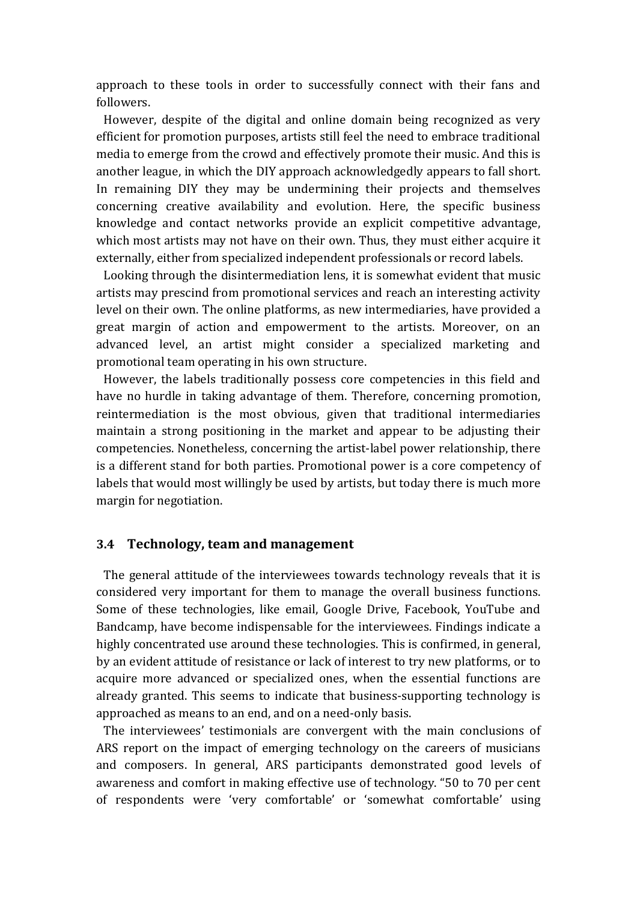approach to these tools in order to successfully connect with their fans and followers.

However, despite of the digital and online domain being recognized as very efficient for promotion purposes, artists still feel the need to embrace traditional media to emerge from the crowd and effectively promote their music. And this is another league, in which the DIY approach acknowledgedly appears to fall short. In remaining DIY they may be undermining their projects and themselves concerning creative availability and evolution. Here, the specific business knowledge and contact networks provide an explicit competitive advantage, which most artists may not have on their own. Thus, they must either acquire it externally, either from specialized independent professionals or record labels.

Looking through the disintermediation lens, it is somewhat evident that music artists may prescind from promotional services and reach an interesting activity level on their own. The online platforms, as new intermediaries, have provided a great margin of action and empowerment to the artists. Moreover, on an advanced level, an artist might consider a specialized marketing and promotional team operating in his own structure.

However, the labels traditionally possess core competencies in this field and have no hurdle in taking advantage of them. Therefore, concerning promotion, reintermediation is the most obvious, given that traditional intermediaries maintain a strong positioning in the market and appear to be adjusting their competencies. Nonetheless, concerning the artist-label power relationship, there is a different stand for both parties. Promotional power is a core competency of labels that would most willingly be used by artists, but today there is much more margin for negotiation.

### **3.4 Technology, team and management**

The general attitude of the interviewees towards technology reveals that it is considered very important for them to manage the overall business functions. Some of these technologies, like email, Google Drive, Facebook, YouTube and Bandcamp, have become indispensable for the interviewees. Findings indicate a highly concentrated use around these technologies. This is confirmed, in general, by an evident attitude of resistance or lack of interest to try new platforms, or to acquire more advanced or specialized ones, when the essential functions are already granted. This seems to indicate that business-supporting technology is approached as means to an end, and on a need-only basis.

The interviewees' testimonials are convergent with the main conclusions of ARS report on the impact of emerging technology on the careers of musicians and composers. In general, ARS participants demonstrated good levels of awareness and comfort in making effective use of technology. "50 to 70 per cent of respondents were 'very comfortable' or 'somewhat comfortable' using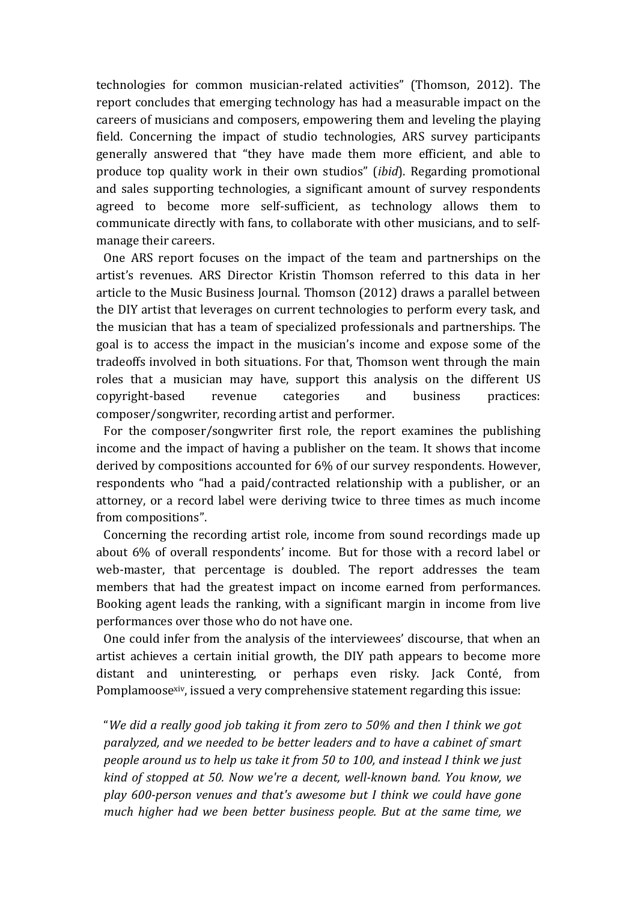technologies for common musician-related activities" (Thomson, 2012). The report concludes that emerging technology has had a measurable impact on the careers of musicians and composers, empowering them and leveling the playing field. Concerning the impact of studio technologies, ARS survey participants generally answered that "they have made them more efficient, and able to produce top quality work in their own studios" *(ibid)*. Regarding promotional and sales supporting technologies, a significant amount of survey respondents agreed to become more self-sufficient, as technology allows them to communicate directly with fans, to collaborate with other musicians, and to selfmanage their careers.

One ARS report focuses on the impact of the team and partnerships on the artist's revenues. ARS Director Kristin Thomson referred to this data in her article to the Music Business Journal. Thomson (2012) draws a parallel between the DIY artist that leverages on current technologies to perform every task, and the musician that has a team of specialized professionals and partnerships. The goal is to access the impact in the musician's income and expose some of the tradeoffs involved in both situations. For that, Thomson went through the main roles that a musician may have, support this analysis on the different US copyright-based revenue categories and business practices: composer/songwriter, recording artist and performer.

For the composer/songwriter first role, the report examines the publishing income and the impact of having a publisher on the team. It shows that income derived by compositions accounted for 6% of our survey respondents. However, respondents who "had a paid/contracted relationship with a publisher, or an attorney, or a record label were deriving twice to three times as much income from compositions".

Concerning the recording artist role, income from sound recordings made up about 6% of overall respondents' income. But for those with a record label or web-master, that percentage is doubled. The report addresses the team members that had the greatest impact on income earned from performances. Booking agent leads the ranking, with a significant margin in income from live performances over those who do not have one.

One could infer from the analysis of the interviewees' discourse, that when an artist achieves a certain initial growth, the DIY path appears to become more distant and uninteresting, or perhaps even risky. Jack Conté, from Pomplamoose<sup>xiv</sup>, issued a very comprehensive statement regarding this issue:

"We did a really good job taking it from zero to 50% and then I think we got paralyzed, and we needed to be better leaders and to have a cabinet of smart *people around us to help us take it from 50 to 100, and instead I think we just* kind of stopped at 50. Now we're a decent, well-known band. You know, we play 600-person venues and that's awesome but I think we could have gone *much higher had we been better business people. But at the same time, we*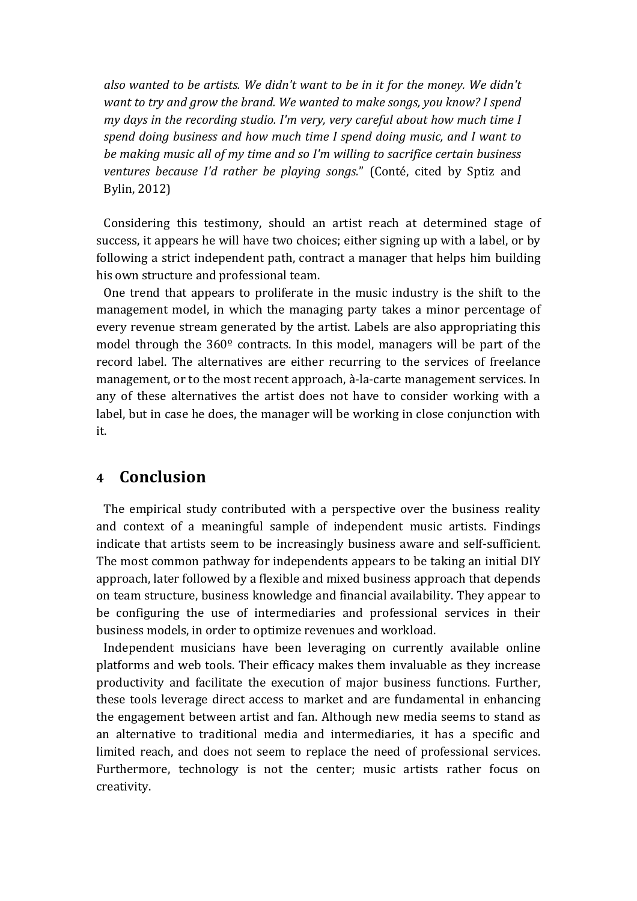also wanted to be artists. We didn't want to be in it for the money. We didn't *want to try and grow the brand.* We wanted to make songs, you know? I spend *my* days in the recording studio. I'm very, very careful about how much time I *spend doing business and how much time I spend doing music, and I want to* be making music all of my time and so I'm willing to sacrifice certain business ventures because I'd rather be playing songs." (Conté, cited by Sptiz and Bylin, 2012)

Considering this testimony, should an artist reach at determined stage of success, it appears he will have two choices; either signing up with a label, or by following a strict independent path, contract a manager that helps him building his own structure and professional team.

One trend that appears to proliferate in the music industry is the shift to the management model, in which the managing party takes a minor percentage of every revenue stream generated by the artist. Labels are also appropriating this model through the  $360^{\circ}$  contracts. In this model, managers will be part of the record label. The alternatives are either recurring to the services of freelance management, or to the most recent approach, à-la-carte management services. In any of these alternatives the artist does not have to consider working with a label, but in case he does, the manager will be working in close conjunction with it.

# **4 Conclusion**

The empirical study contributed with a perspective over the business reality and context of a meaningful sample of independent music artists. Findings indicate that artists seem to be increasingly business aware and self-sufficient. The most common pathway for independents appears to be taking an initial DIY approach, later followed by a flexible and mixed business approach that depends on team structure, business knowledge and financial availability. They appear to be configuring the use of intermediaries and professional services in their business models, in order to optimize revenues and workload.

Independent musicians have been leveraging on currently available online platforms and web tools. Their efficacy makes them invaluable as they increase productivity and facilitate the execution of major business functions. Further, these tools leverage direct access to market and are fundamental in enhancing the engagement between artist and fan. Although new media seems to stand as an alternative to traditional media and intermediaries, it has a specific and limited reach, and does not seem to replace the need of professional services. Furthermore, technology is not the center; music artists rather focus on creativity.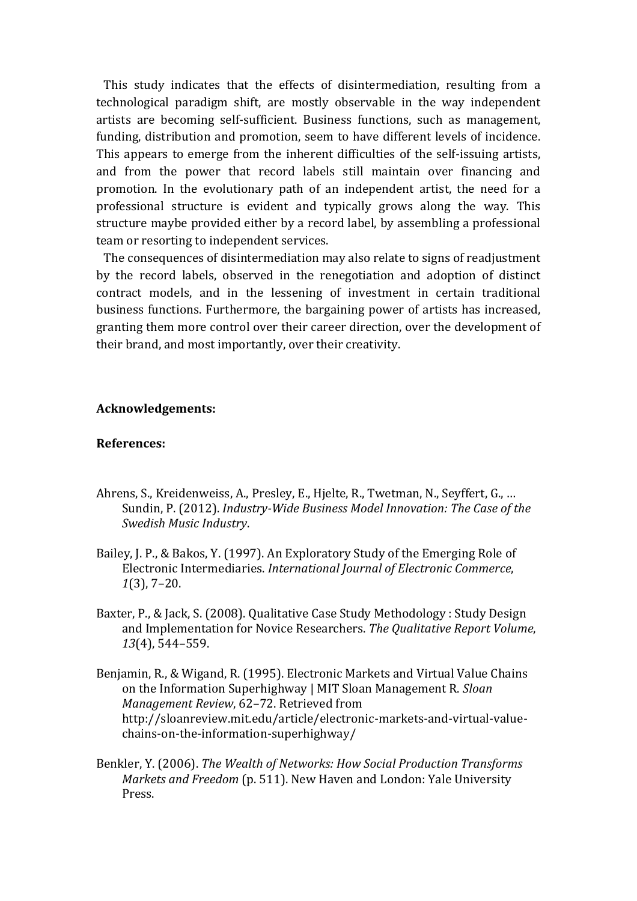This study indicates that the effects of disintermediation, resulting from a technological paradigm shift, are mostly observable in the way independent artists are becoming self-sufficient. Business functions, such as management, funding, distribution and promotion, seem to have different levels of incidence. This appears to emerge from the inherent difficulties of the self-issuing artists, and from the power that record labels still maintain over financing and promotion. In the evolutionary path of an independent artist, the need for a professional structure is evident and typically grows along the way. This structure maybe provided either by a record label, by assembling a professional team or resorting to independent services.

The consequences of disintermediation may also relate to signs of readjustment by the record labels, observed in the renegotiation and adoption of distinct contract models, and in the lessening of investment in certain traditional business functions. Furthermore, the bargaining power of artists has increased, granting them more control over their career direction, over the development of their brand, and most importantly, over their creativity.

#### **Acknowledgements:**

#### **References:**

- Ahrens, S., Kreidenweiss, A., Presley, E., Hjelte, R., Twetman, N., Seyffert, G., ... Sundin, P. (2012). *Industry-Wide Business Model Innovation: The Case of the Swedish Music Industry*.
- Bailey, J. P., & Bakos, Y. (1997). An Exploratory Study of the Emerging Role of Electronic Intermediaries. *International Journal of Electronic Commerce*, *1*(3), 7–20.
- Baxter, P., & Jack, S. (2008). Qualitative Case Study Methodology : Study Design and Implementation for Novice Researchers. The Qualitative Report Volume, *13*(4), 544–559.
- Benjamin, R., & Wigand, R. (1995). Electronic Markets and Virtual Value Chains on the Information Superhighway | MIT Sloan Management R. *Sloan Management Review, 62-72. Retrieved from* http://sloanreview.mit.edu/article/electronic-markets-and-virtual-valuechains-on-the-information-superhighway/
- Benkler, Y. (2006). *The Wealth of Networks: How Social Production Transforms Markets and Freedom* (p. 511). New Haven and London: Yale University Press.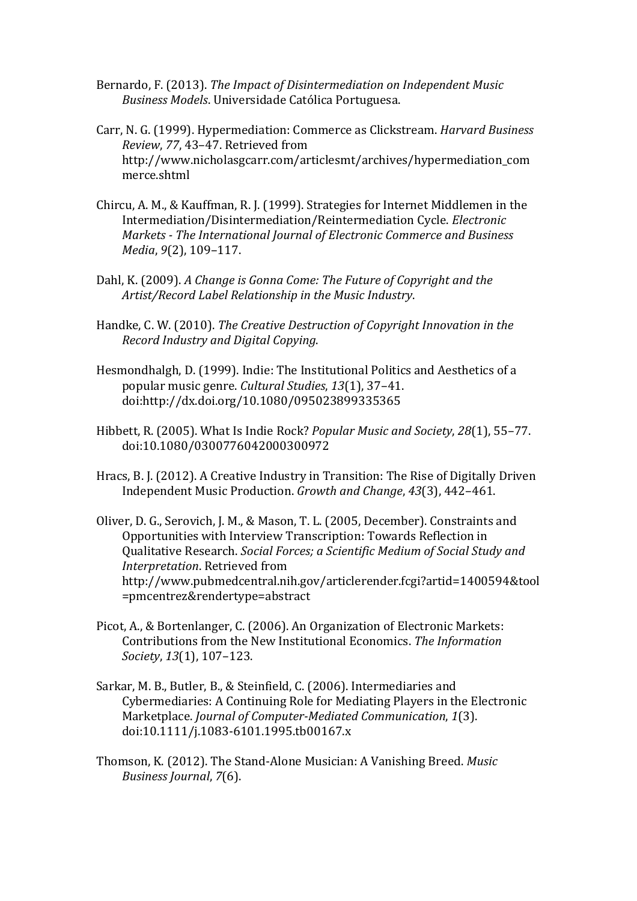- Bernardo, F. (2013). *The Impact of Disintermediation on Independent Music Business Models*. Universidade Católica Portuguesa.
- Carr, N. G. (1999). Hypermediation: Commerce as Clickstream. *Harvard Business Review, 77, 43-47. Retrieved from* http://www.nicholasgcarr.com/articlesmt/archives/hypermediation\_com merce.shtml
- Chircu, A. M., & Kauffman, R. J. (1999). Strategies for Internet Middlemen in the Intermediation/Disintermediation/Reintermediation Cycle. *Electronic Markets* - *The International Journal of Electronic Commerce and Business Media*, 9(2), 109-117.
- Dahl, K. (2009). A Change is Gonna Come: The Future of Copyright and the *Artist/Record Label Relationship in the Music Industry*.
- Handke, C. W. (2010). *The Creative Destruction of Copyright Innovation in the Record Industry and Digital Copying*.
- Hesmondhalgh, D. (1999). Indie: The Institutional Politics and Aesthetics of a popular music genre. *Cultural Studies*, *13*(1), 37–41. doi:http://dx.doi.org/10.1080/095023899335365
- Hibbett, R. (2005). What Is Indie Rock? *Popular Music and Society*, 28(1), 55–77. doi:10.1080/0300776042000300972
- Hracs, B. J. (2012). A Creative Industry in Transition: The Rise of Digitally Driven Independent Music Production. *Growth and Change*, 43(3), 442-461.
- Oliver, D. G., Serovich, J. M., & Mason, T. L. (2005, December). Constraints and Opportunities with Interview Transcription: Towards Reflection in Qualitative Research. *Social Forces; a Scientific Medium of Social Study and Interpretation*. Retrieved from http://www.pubmedcentral.nih.gov/articlerender.fcgi?artid=1400594&tool =pmcentrez&rendertype=abstract
- Picot, A., & Bortenlanger, C. (2006). An Organization of Electronic Markets: Contributions from the New Institutional Economics. The Information *Society*, *13*(1), 107–123.
- Sarkar, M. B., Butler, B., & Steinfield, C. (2006). Intermediaries and Cybermediaries: A Continuing Role for Mediating Players in the Electronic Marketplace. *Journal of Computer-Mediated Communication*, 1(3). doi:10.1111/j.1083-6101.1995.tb00167.x
- Thomson, K. (2012). The Stand-Alone Musician: A Vanishing Breed. *Music Business Journal*, 7(6).